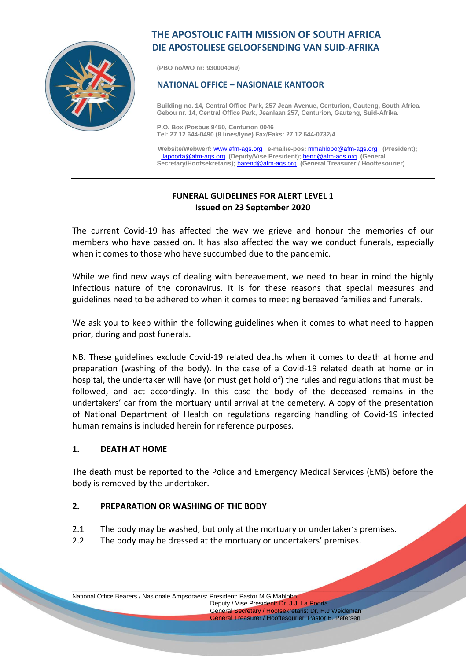

# **THE APOSTOLIC FAITH MISSION OF SOUTH AFRICA DIE APOSTOLIESE GELOOFSENDING VAN SUID-AFRIKA**

**(PBO no/WO nr: 930004069)**

#### **NATIONAL OFFICE – NASIONALE KANTOOR**

**Building no. 14, Central Office Park, 257 Jean Avenue, Centurion, Gauteng, South Africa. Gebou nr. 14, Central Office Park, Jeanlaan 257, Centurion, Gauteng, Suid-Afrika.**

**P.O. Box /Posbus 9450, Centurion 0046 Tel: 27 12 644-0490 (8 lines/lyne) Fax/Faks: 27 12 644-0732/4**

 **Website/Webwerf:** [www.afm-ags.org](http://www.afm-ags.org/) **e-mail/e-pos:** [mmahlobo@afm-ags.org](mailto:mmahlobo@afm-ags.org) **(President);** [jlapoorta@afm-ags.org](mailto:jlapoorta@afm-ags.org) **(Deputy/Vise President);** [henri@afm-ags.org](mailto:henri@afm-ags.org) **(General Secretary/Hoofsekretaris);** [barend@afm-ags.org](mailto:barend@afm-ags.org) **(General Treasurer / Hooftesourier)**

# **FUNERAL GUIDELINES FOR ALERT LEVEL 1 Issued on 23 September 2020**

The current Covid-19 has affected the way we grieve and honour the memories of our members who have passed on. It has also affected the way we conduct funerals, especially when it comes to those who have succumbed due to the pandemic.

While we find new ways of dealing with bereavement, we need to bear in mind the highly infectious nature of the coronavirus. It is for these reasons that special measures and guidelines need to be adhered to when it comes to meeting bereaved families and funerals.

We ask you to keep within the following guidelines when it comes to what need to happen prior, during and post funerals.

NB. These guidelines exclude Covid-19 related deaths when it comes to death at home and preparation (washing of the body). In the case of a Covid-19 related death at home or in hospital, the undertaker will have (or must get hold of) the rules and regulations that must be followed, and act accordingly. In this case the body of the deceased remains in the undertakers' car from the mortuary until arrival at the cemetery. A copy of the presentation of National Department of Health on regulations regarding handling of Covid-19 infected human remains is included herein for reference purposes.

#### **1. DEATH AT HOME**

The death must be reported to the Police and Emergency Medical Services (EMS) before the body is removed by the undertaker.

\_\_\_\_\_\_\_\_\_\_\_\_\_\_\_\_\_\_\_\_\_\_\_\_\_\_\_\_\_\_\_\_\_\_\_\_\_\_\_\_\_\_\_\_\_\_\_\_\_\_\_\_\_\_\_\_\_\_\_\_\_\_\_\_\_\_\_\_\_\_\_\_\_\_\_\_\_\_\_\_\_\_\_\_\_\_\_\_\_\_\_\_\_\_\_\_\_\_\_\_\_\_\_

# **2. PREPARATION OR WASHING OF THE BODY**

- 2.1 The body may be washed, but only at the mortuary or undertaker's premises.
- 2.2 The body may be dressed at the mortuary or undertakers' premises.

National Office Bearers / Nasionale Ampsdraers: President: Pastor M.G Mahlobo Deputy / Vise President: Dr. J.J. La Poorta General Secretary / Hoofsekretaris: Dr. H.J Weideman

General Treasurer / Hooftesourier: Pastor B. Petersen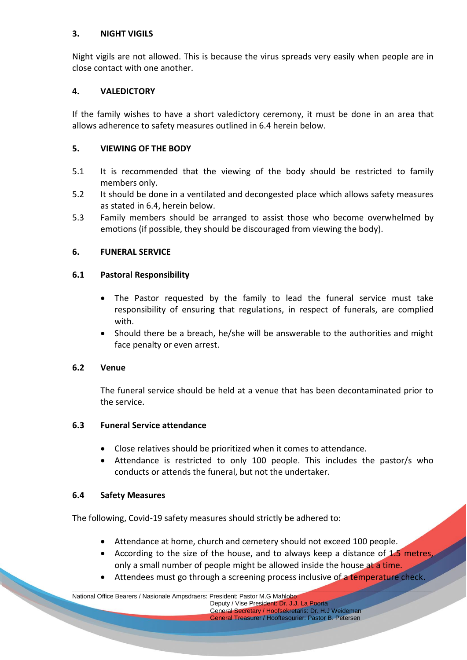## **3. NIGHT VIGILS**

Night vigils are not allowed. This is because the virus spreads very easily when people are in close contact with one another.

### **4. VALEDICTORY**

If the family wishes to have a short valedictory ceremony, it must be done in an area that allows adherence to safety measures outlined in 6.4 herein below.

## **5. VIEWING OF THE BODY**

- 5.1 It is recommended that the viewing of the body should be restricted to family members only.
- 5.2 It should be done in a ventilated and decongested place which allows safety measures as stated in 6.4, herein below.
- 5.3 Family members should be arranged to assist those who become overwhelmed by emotions (if possible, they should be discouraged from viewing the body).

#### **6. FUNERAL SERVICE**

#### **6.1 Pastoral Responsibility**

- The Pastor requested by the family to lead the funeral service must take responsibility of ensuring that regulations, in respect of funerals, are complied with.
- Should there be a breach, he/she will be answerable to the authorities and might face penalty or even arrest.

#### **6.2 Venue**

The funeral service should be held at a venue that has been decontaminated prior to the service.

#### **6.3 Funeral Service attendance**

- Close relatives should be prioritized when it comes to attendance.
- Attendance is restricted to only 100 people. This includes the pastor/s who conducts or attends the funeral, but not the undertaker.

#### **6.4 Safety Measures**

The following, Covid-19 safety measures should strictly be adhered to:

- Attendance at home, church and cemetery should not exceed 100 people.
- According to the size of the house, and to always keep a distance of  $1.5$  metres, only a small number of people might be allowed inside the house at a time.
- Attendees must go through a screening process inclusive of a temperature check.

\_\_\_\_\_\_\_\_\_\_\_\_\_\_\_\_\_\_\_\_\_\_\_\_\_\_\_\_\_\_\_\_\_\_\_\_\_\_\_\_\_\_\_\_\_\_\_\_\_\_\_\_\_\_\_\_\_\_\_\_\_\_\_\_\_\_\_\_\_\_\_\_\_\_\_\_\_\_\_\_\_\_\_\_\_\_\_\_\_\_\_\_\_\_\_\_\_\_\_\_\_\_\_ National Office Bearers / Nasionale Ampsdraers: President: Pastor M.G Mahlobo

 Deputy / Vise President: Dr. J.J. La Poorta General Secretary / Hoofsekretaris: Dr. H.J Weideman General Treasurer / Hooftesourier: Pastor B. Petersen